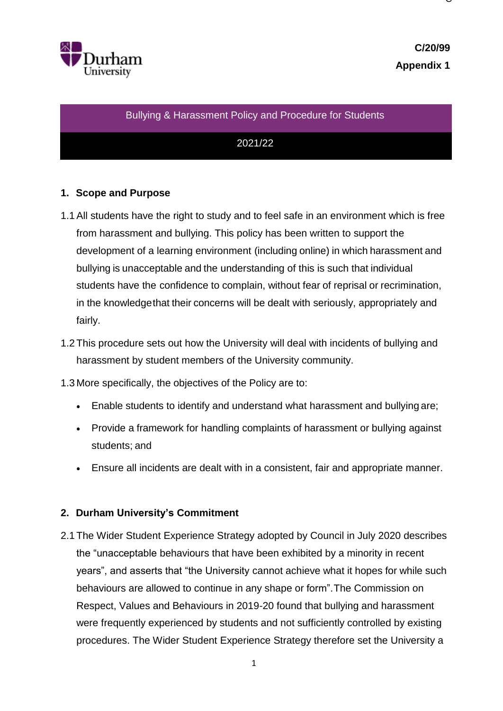

 $\check{ }$ 

### Bullying & Harassment Policy and Procedure for Students

## 2021/22

## **1. Scope and Purpose**

- 1.1All students have the right to study and to feel safe in an environment which is free from harassment and bullying. This policy has been written to support the development of a learning environment (including online) in which harassment and bullying is unacceptable and the understanding of this is such that individual students have the confidence to complain, without fear of reprisal or recrimination, in the knowledgethat their concerns will be dealt with seriously, appropriately and fairly.
- 1.2 This procedure sets out how the University will deal with incidents of bullying and harassment by student members of the University community.

1.3 More specifically, the objectives of the Policy are to:

- Enable students to identify and understand what harassment and bullying are;
- Provide a framework for handling complaints of harassment or bullying against students; and
- Ensure all incidents are dealt with in a consistent, fair and appropriate manner.

## **2. Durham University's Commitment**

2.1 The Wider Student Experience Strategy adopted by Council in July 2020 describes the "unacceptable behaviours that have been exhibited by a minority in recent years", and asserts that "the University cannot achieve what it hopes for while such behaviours are allowed to continue in any shape or form".The Commission on Respect, Values and Behaviours in 2019-20 found that bullying and harassment were frequently experienced by students and not sufficiently controlled by existing procedures. The Wider Student Experience Strategy therefore set the University a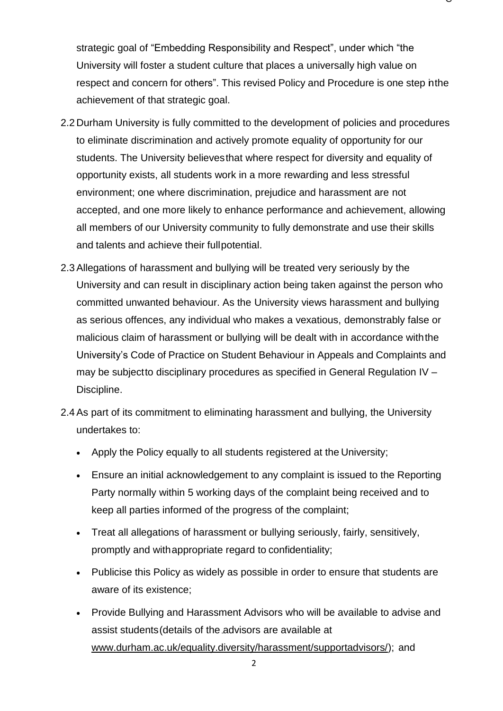strategic goal of "Embedding Responsibility and Respect", under which "the University will foster a student culture that places a universally high value on respect and concern for others". This revised Policy and Procedure is one step in the achievement of that strategic goal.

- 2.2 Durham University is fully committed to the development of policies and procedures to eliminate discrimination and actively promote equality of opportunity for our students. The University believesthat where respect for diversity and equality of opportunity exists, all students work in a more rewarding and less stressful environment; one where discrimination, prejudice and harassment are not accepted, and one more likely to enhance performance and achievement, allowing all members of our University community to fully demonstrate and use their skills and talents and achieve their fullpotential.
- 2.3Allegations of harassment and bullying will be treated very seriously by the University and can result in disciplinary action being taken against the person who committed unwanted behaviour. As the University views harassment and bullying as serious offences, any individual who makes a vexatious, demonstrably false or malicious claim of harassment or bullying will be dealt with in accordance withthe University's Code of Practice on Student Behaviour in Appeals and Complaints and may be subjectto disciplinary procedures as specified in General Regulation IV – Discipline.
- 2.4As part of its commitment to eliminating harassment and bullying, the University undertakes to:
	- Apply the Policy equally to all students registered at the University;
	- Ensure an initial acknowledgement to any complaint is issued to the Reporting Party normally within 5 working days of the complaint being received and to keep all parties informed of the progress of the complaint;
	- Treat all allegations of harassment or bullying seriously, fairly, sensitively, promptly and withappropriate regard to confidentiality;
	- Publicise this Policy as widely as possible in order to ensure that students are aware of its existence;
	- Provide Bullying and Harassment Advisors who will be available to advise and assist students(details of the advisors are available at [www.durham.ac.uk/equality.diversity/harassment/supportadvisors/\)](http://www.durham.ac.uk/equality.diversity/harassment/supportadvisors/); and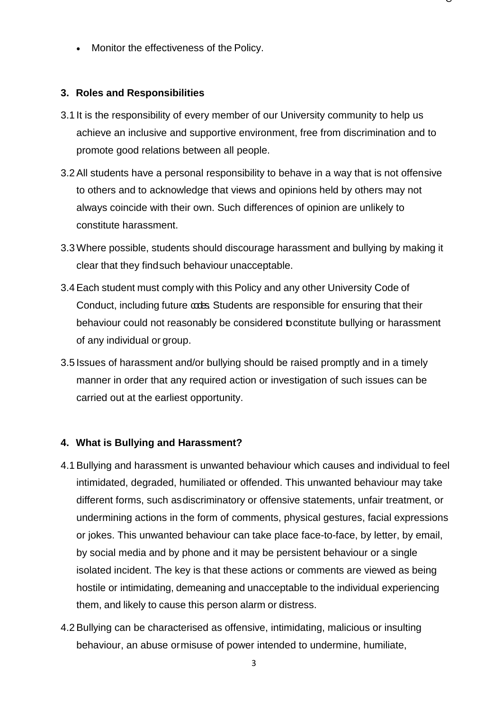Monitor the effectiveness of the Policy.

### **3. Roles and Responsibilities**

3.1 It is the responsibility of every member of our University community to help us achieve an inclusive and supportive environment, free from discrimination and to promote good relations between all people.

 $\check{ }$ 

- 3.2All students have a personal responsibility to behave in a way that is not offensive to others and to acknowledge that views and opinions held by others may not always coincide with their own. Such differences of opinion are unlikely to constitute harassment.
- 3.3Where possible, students should discourage harassment and bullying by making it clear that they findsuch behaviour unacceptable.
- 3.4Each student must comply with this Policy and any other University Code of Conduct, including future codes. Students are responsible for ensuring that their behaviour could not reasonably be considered toconstitute bullying or harassment of any individual or group.
- 3.5 Issues of harassment and/or bullying should be raised promptly and in a timely manner in order that any required action or investigation of such issues can be carried out at the earliest opportunity.

## **4. What is Bullying and Harassment?**

- 4.1Bullying and harassment is unwanted behaviour which causes and individual to feel intimidated, degraded, humiliated or offended. This unwanted behaviour may take different forms, such asdiscriminatory or offensive statements, unfair treatment, or undermining actions in the form of comments, physical gestures, facial expressions or jokes. This unwanted behaviour can take place face-to-face, by letter, by email, by social media and by phone and it may be persistent behaviour or a single isolated incident. The key is that these actions or comments are viewed as being hostile or intimidating, demeaning and unacceptable to the individual experiencing them, and likely to cause this person alarm or distress.
- 4.2Bullying can be characterised as offensive, intimidating, malicious or insulting behaviour, an abuse ormisuse of power intended to undermine, humiliate,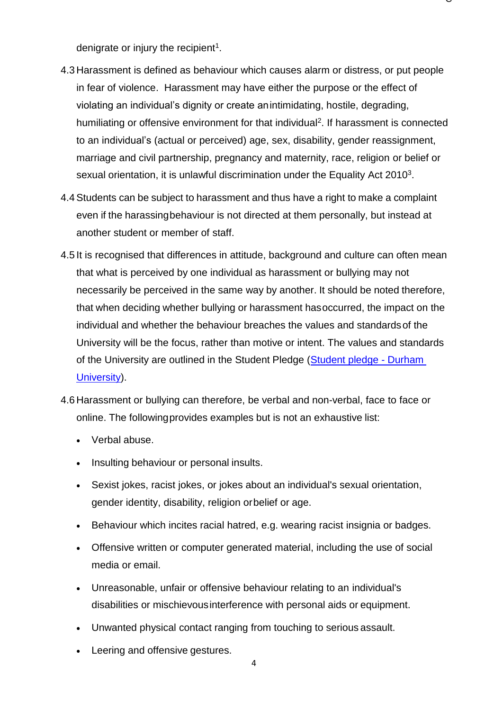denigrate or injury the recipient<sup>1</sup>.

4.3 Harassment is defined as behaviour which causes alarm or distress, or put people in fear of violenc[e.](#page-12-0) Harassment may have either the purpose or the effect of violating an individual's dignity or create anintimidating, hostile, degrading, humiliating or offensive environment for that individual<sup>2</sup>[.](#page-12-1) If harassment is connected to an individual's (actual or perceived) age, sex, disability, gender reassignment, marriage and civil partnership, pregnancy and maternity, race, religion or belief or sexual orientation, it is unlawful discrimination under the Equality Act 2010<sup>3</sup>.

- 4.4Students can be subject to harassment and thus have a right to make a complaint even if the harassingbehaviour is not directed at them personally, but instead at another student or member of staff.
- 4.5 It is recognised that differences in attitude, background and culture can often mean that what is perceived by one individual as harassment or bullying may not necessarily be perceived in the same way by another. It should be noted therefore, that when deciding whether bullying or harassment hasoccurred, the impact on the individual and whether the behaviour breaches the values and standardsof the University will be the focus, rather than motive or intent. The values and standards of the University are outlined in the Student Pledge [\(Student pledge -](https://www.dur.ac.uk/experience/colleges/pledge/) Durham [University\)](https://www.dur.ac.uk/experience/colleges/pledge/).
- 4.6 Harassment or bullying can therefore, be verbal and non-verbal, face to face or online. The followingprovides examples but is not an exhaustive list:
	- Verbal abuse.
	- Insulting behaviour or personal insults.
	- Sexist jokes, racist jokes, or jokes about an individual's sexual orientation, gender identity, disability, religion orbelief or age.
	- Behaviour which incites racial hatred, e.g. wearing racist insignia or badges.
	- Offensive written or computer generated material, including the use of social media or email.
	- Unreasonable, unfair or offensive behaviour relating to an individual's disabilities or mischievousinterference with personal aids or equipment.
	- Unwanted physical contact ranging from touching to serious assault.
	- Leering and offensive gestures.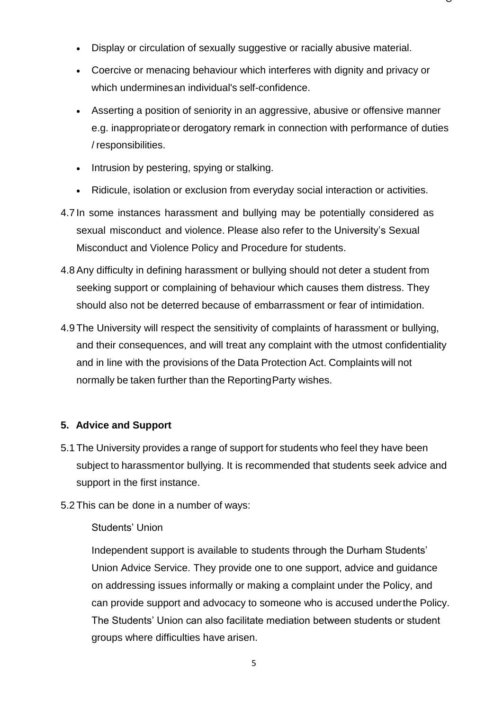- Display or circulation of sexually suggestive or racially abusive material.
- Coercive or menacing behaviour which interferes with dignity and privacy or which underminesan individual's self-confidence.

 $\check{ }$ 

- Asserting a position of seniority in an aggressive, abusive or offensive manner e.g. inappropriateor derogatory remark in connection with performance of duties / responsibilities.
- Intrusion by pestering, spying or stalking.
- Ridicule, isolation or exclusion from everyday social interaction or activities.
- 4.7 In some instances harassment and bullying may be potentially considered as sexual misconduct and violence. Please also refer to the University's Sexual Misconduct and Violence Policy and Procedure for students.
- 4.8Any difficulty in defining harassment or bullying should not deter a student from seeking support or complaining of behaviour which causes them distress. They should also not be deterred because of embarrassment or fear of intimidation.
- 4.9 The University will respect the sensitivity of complaints of harassment or bullying, and their consequences, and will treat any complaint with the utmost confidentiality and in line with the provisions of the Data Protection Act. Complaints will not normally be taken further than the ReportingParty wishes.

## **5. Advice and Support**

- 5.1 The University provides a range of support for students who feel they have been subject to harassmentor bullying. It is recommended that students seek advice and support in the first instance.
- 5.2 This can be done in a number of ways:

## Students' Union

Independent support is available to students through the Durham Students' Union Advice Service. They provide one to one support, advice and guidance on addressing issues informally or making a complaint under the Policy, and can provide support and advocacy to someone who is accused underthe Policy. The Students' Union can also facilitate mediation between students or student groups where difficulties have arisen.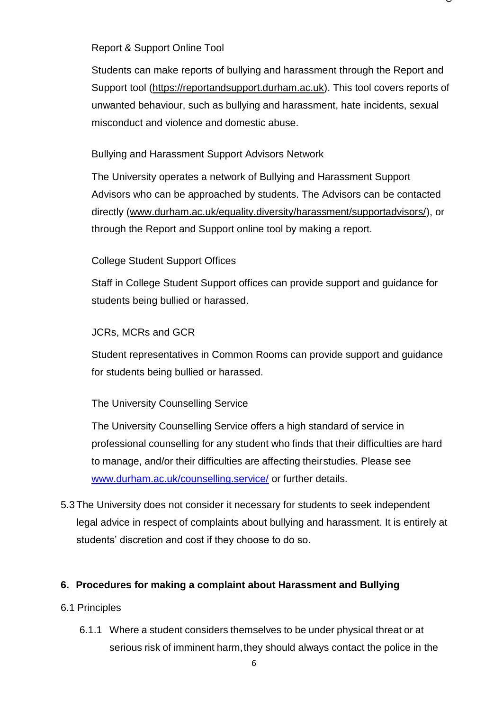### Report & Support Online Tool

Students can make reports of bullying and harassment through the Report and Support tool [\(https://reportandsupport.durham.ac.uk\)](https://reportandsupport.durham.ac.uk/). This tool covers reports of unwanted behaviour, such as bullying and harassment, hate incidents, sexual misconduct and violence and domestic abuse.

 $\check{ }$ 

## Bullying and Harassment Support Advisors Network

The University operates a network of Bullying and Harassment Support Advisors who can be approached by students. The Advisors can be contacted directly [\(www.durham.ac.uk/equality.diversity/harassment/supportadvisors/\)](http://www.durham.ac.uk/equality.diversity/harassment/supportadvisors/), or through the Report and Support online tool by making a report.

## College Student Support Offices

Staff in College Student Support offices can provide support and guidance for students being bullied or harassed.

## JCRs, MCRs and GCR

Student representatives in Common Rooms can provide support and guidance for students being bullied or harassed.

### The University Counselling Service

The University Counselling Service offers a high standard of service in professional counselling for any student who finds that their difficulties are hard to manage, and/or their difficulties are affecting theirstudies. Please see [www.durham.ac.uk/counselling.service/](http://www.durham.ac.uk/counselling.service/) or further details.

5.3 The University does not consider it necessary for students to seek independent legal advice in respect of complaints about bullying and harassment. It is entirely at students' discretion and cost if they choose to do so.

### **6. Procedures for making a complaint about Harassment and Bullying**

### 6.1 Principles

6.1.1 Where a student considers themselves to be under physical threat or at serious risk of imminent harm, they should always contact the police in the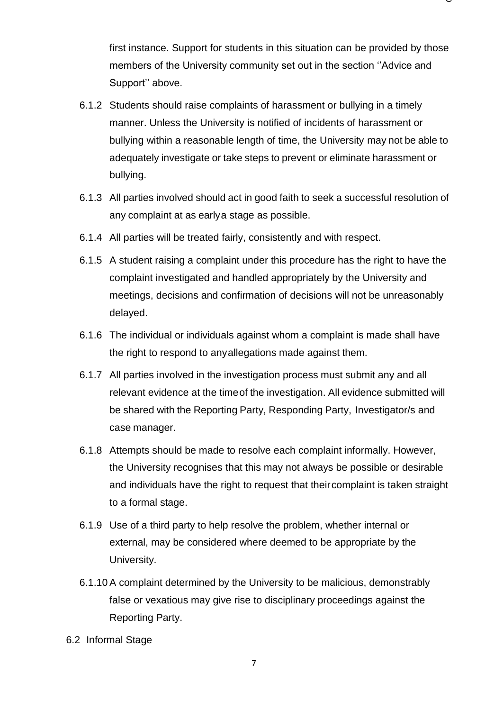first instance. Support for students in this situation can be provided by those members of the University community set out in the section ''Advice and Support'' above.

- 6.1.2 Students should raise complaints of harassment or bullying in a timely manner. Unless the University is notified of incidents of harassment or bullying within a reasonable length of time, the University may not be able to adequately investigate or take steps to prevent or eliminate harassment or bullying.
- 6.1.3 All parties involved should act in good faith to seek a successful resolution of any complaint at as earlya stage as possible.
- 6.1.4 All parties will be treated fairly, consistently and with respect.
- 6.1.5 A student raising a complaint under this procedure has the right to have the complaint investigated and handled appropriately by the University and meetings, decisions and confirmation of decisions will not be unreasonably delayed.
- 6.1.6 The individual or individuals against whom a complaint is made shall have the right to respond to anyallegations made against them.
- 6.1.7 All parties involved in the investigation process must submit any and all relevant evidence at the timeof the investigation. All evidence submitted will be shared with the Reporting Party, Responding Party, Investigator/s and case manager.
- 6.1.8 Attempts should be made to resolve each complaint informally. However, the University recognises that this may not always be possible or desirable and individuals have the right to request that theircomplaint is taken straight to a formal stage.
- 6.1.9 Use of a third party to help resolve the problem, whether internal or external, may be considered where deemed to be appropriate by the University.
- 6.1.10 A complaint determined by the University to be malicious, demonstrably false or vexatious may give rise to disciplinary proceedings against the Reporting Party.
- 6.2 Informal Stage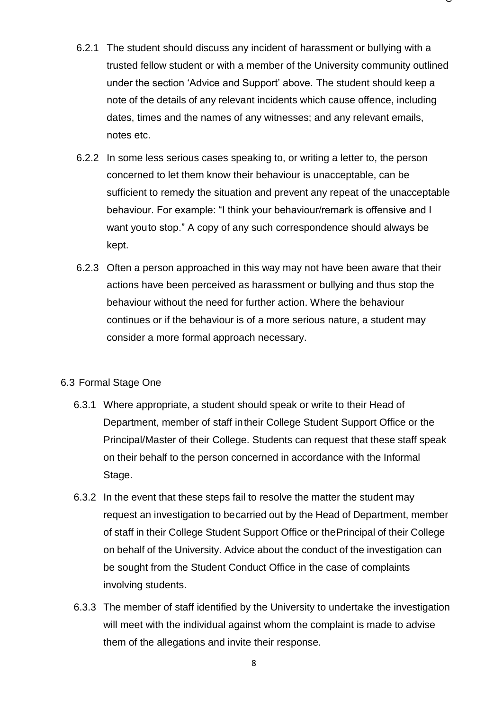6.2.1 The student should discuss any incident of harassment or bullying with a trusted fellow student or with a member of the University community outlined under the section 'Advice and Support' above. The student should keep a note of the details of any relevant incidents which cause offence, including dates, times and the names of any witnesses; and any relevant emails, notes etc.

 $\check{ }$ 

- 6.2.2 In some less serious cases speaking to, or writing a letter to, the person concerned to let them know their behaviour is unacceptable, can be sufficient to remedy the situation and prevent any repeat of the unacceptable behaviour. For example: "I think your behaviour/remark is offensive and I want youto stop." A copy of any such correspondence should always be kept.
- 6.2.3 Often a person approached in this way may not have been aware that their actions have been perceived as harassment or bullying and thus stop the behaviour without the need for further action. Where the behaviour continues or if the behaviour is of a more serious nature, a student may consider a more formal approach necessary.

### 6.3 Formal Stage One

- 6.3.1 Where appropriate, a student should speak or write to their Head of Department, member of staff intheir College Student Support Office or the Principal/Master of their College. Students can request that these staff speak on their behalf to the person concerned in accordance with the Informal Stage.
- 6.3.2 In the event that these steps fail to resolve the matter the student may request an investigation to becarried out by the Head of Department, member of staff in their College Student Support Office or thePrincipal of their College on behalf of the University. Advice about the conduct of the investigation can be sought from the Student Conduct Office in the case of complaints involving students.
- 6.3.3 The member of staff identified by the University to undertake the investigation will meet with the individual against whom the complaint is made to advise them of the allegations and invite their response.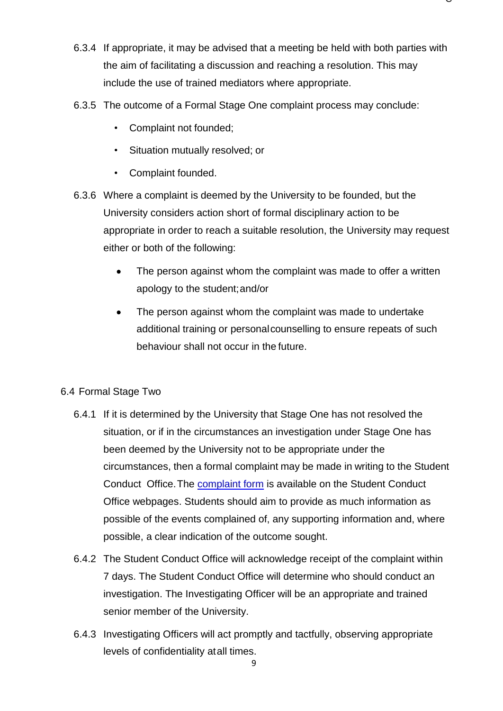6.3.4 If appropriate, it may be advised that a meeting be held with both parties with the aim of facilitating a discussion and reaching a resolution. This may include the use of trained mediators where appropriate.

 $\check{ }$ 

- 6.3.5 The outcome of a Formal Stage One complaint process may conclude:
	- Complaint not founded;
	- Situation mutually resolved; or
	- Complaint founded.
- 6.3.6 Where a complaint is deemed by the University to be founded, but the University considers action short of formal disciplinary action to be appropriate in order to reach a suitable resolution, the University may request either or both of the following:
	- The person against whom the complaint was made to offer a written apology to the student;and/or
	- The person against whom the complaint was made to undertake additional training or personalcounselling to ensure repeats of such behaviour shall not occur in the future.

# 6.4 Formal Stage Two

- 6.4.1 If it is determined by the University that Stage One has not resolved the situation, or if in the circumstances an investigation under Stage One has been deemed by the University not to be appropriate under the circumstances, then a formal complaint may be made in writing to the Student Conduct Office. The [complaint form](https://www.dur.ac.uk/colleges.se.division/studentsupportdirect/conductteam/respectatstudy/) is available on the Student Conduct Office webpages. Students should aim to provide as much information as possible of the events complained of, any supporting information and, where possible, a clear indication of the outcome sought.
- 6.4.2 The Student Conduct Office will acknowledge receipt of the complaint within 7 days. The Student Conduct Office will determine who should conduct an investigation. The Investigating Officer will be an appropriate and trained senior member of the University.
- 6.4.3 Investigating Officers will act promptly and tactfully, observing appropriate levels of confidentiality atall times.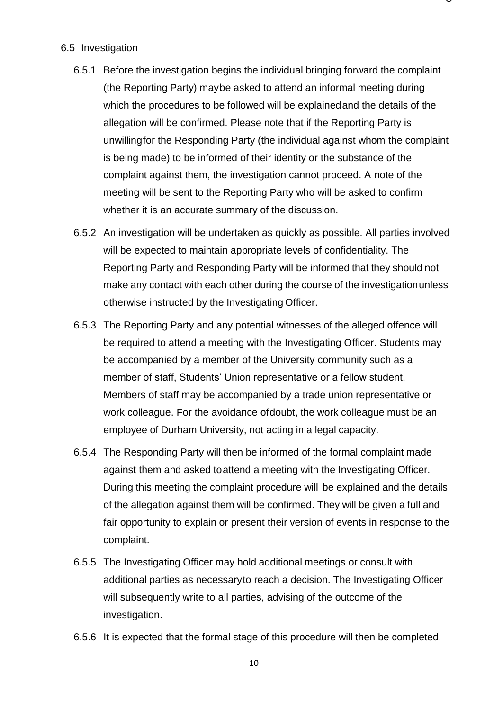#### 6.5 Investigation

6.5.1 Before the investigation begins the individual bringing forward the complaint (the Reporting Party) maybe asked to attend an informal meeting during which the procedures to be followed will be explainedand the details of the allegation will be confirmed. Please note that if the Reporting Party is unwillingfor the Responding Party (the individual against whom the complaint is being made) to be informed of their identity or the substance of the complaint against them, the investigation cannot proceed. A note of the meeting will be sent to the Reporting Party who will be asked to confirm whether it is an accurate summary of the discussion.

- 6.5.2 An investigation will be undertaken as quickly as possible. All parties involved will be expected to maintain appropriate levels of confidentiality. The Reporting Party and Responding Party will be informed that they should not make any contact with each other during the course of the investigationunless otherwise instructed by the Investigating Officer.
- 6.5.3 The Reporting Party and any potential witnesses of the alleged offence will be required to attend a meeting with the Investigating Officer. Students may be accompanied by a member of the University community such as a member of staff, Students' Union representative or a fellow student. Members of staff may be accompanied by a trade union representative or work colleague. For the avoidance ofdoubt, the work colleague must be an employee of Durham University, not acting in a legal capacity.
- 6.5.4 The Responding Party will then be informed of the formal complaint made against them and asked toattend a meeting with the Investigating Officer. During this meeting the complaint procedure will be explained and the details of the allegation against them will be confirmed. They will be given a full and fair opportunity to explain or present their version of events in response to the complaint.
- 6.5.5 The Investigating Officer may hold additional meetings or consult with additional parties as necessaryto reach a decision. The Investigating Officer will subsequently write to all parties, advising of the outcome of the investigation.
- 6.5.6 It is expected that the formal stage of this procedure will then be completed.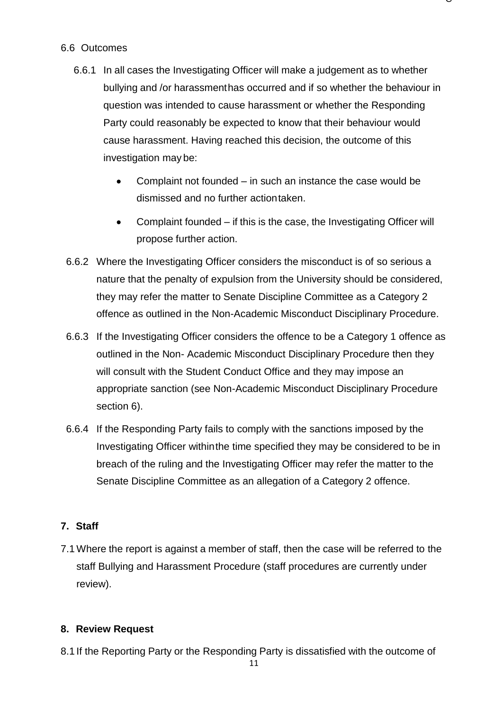# 6.6 Outcomes

6.6.1 In all cases the Investigating Officer will make a judgement as to whether bullying and /or harassmenthas occurred and if so whether the behaviour in question was intended to cause harassment or whether the Responding Party could reasonably be expected to know that their behaviour would cause harassment. Having reached this decision, the outcome of this investigation may be:

 $\check{ }$ 

- Complaint not founded in such an instance the case would be dismissed and no further actiontaken.
- Complaint founded if this is the case, the Investigating Officer will propose further action.
- 6.6.2 Where the Investigating Officer considers the misconduct is of so serious a nature that the penalty of expulsion from the University should be considered, they may refer the matter to Senate Discipline Committee as a Category 2 offence as outlined in the Non-Academic Misconduct Disciplinary Procedure.
- 6.6.3 If the Investigating Officer considers the offence to be a Category 1 offence as outlined in the Non- Academic Misconduct Disciplinary Procedure then they will consult with the Student Conduct Office and they may impose an appropriate sanction (see Non-Academic Misconduct Disciplinary Procedure section 6).
- 6.6.4 If the Responding Party fails to comply with the sanctions imposed by the Investigating Officer withinthe time specified they may be considered to be in breach of the ruling and the Investigating Officer may refer the matter to the Senate Discipline Committee as an allegation of a Category 2 offence.

# **7. Staff**

7.1Where the report is against a member of staff, then the case will be referred to the staff Bullying and Harassment Procedure (staff procedures are currently under review).

# **8. Review Request**

8.1 If the Reporting Party or the Responding Party is dissatisfied with the outcome of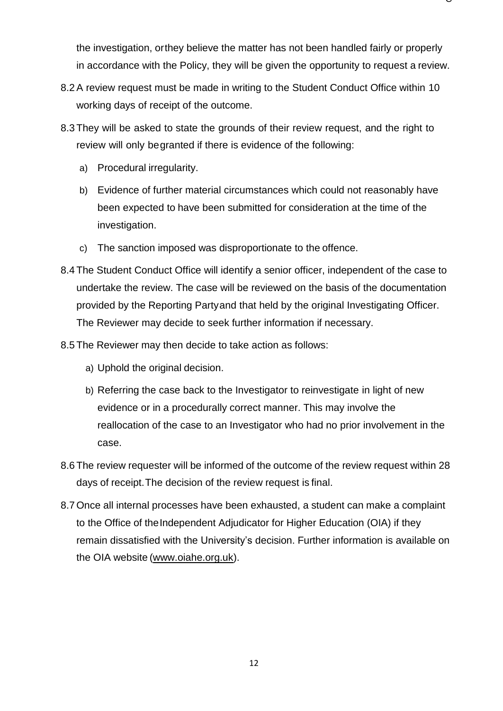the investigation, orthey believe the matter has not been handled fairly or properly in accordance with the Policy, they will be given the opportunity to request a review.

- 8.2A review request must be made in writing to the Student Conduct Office within 10 working days of receipt of the outcome.
- 8.3 They will be asked to state the grounds of their review request, and the right to review will only begranted if there is evidence of the following:
	- a) Procedural irregularity.
	- b) Evidence of further material circumstances which could not reasonably have been expected to have been submitted for consideration at the time of the investigation.
	- c) The sanction imposed was disproportionate to the offence.
- 8.4 The Student Conduct Office will identify a senior officer, independent of the case to undertake the review. The case will be reviewed on the basis of the documentation provided by the Reporting Partyand that held by the original Investigating Officer. The Reviewer may decide to seek further information if necessary.
- 8.5 The Reviewer may then decide to take action as follows:
	- a) Uphold the original decision.
	- b) Referring the case back to the Investigator to reinvestigate in light of new evidence or in a procedurally correct manner. This may involve the reallocation of the case to an Investigator who had no prior involvement in the case.
- 8.6 The review requester will be informed of the outcome of the review request within 28 days of receipt.The decision of the review request is final.
- 8.7 Once all internal processes have been exhausted, a student can make a complaint to the Office of the Independent Adjudicator for Higher Education (OIA) if they remain dissatisfied with the University's decision. Further information is available on the OIA website [\(www.oiahe.org.uk\)](http://www.oiahe.org.uk/).